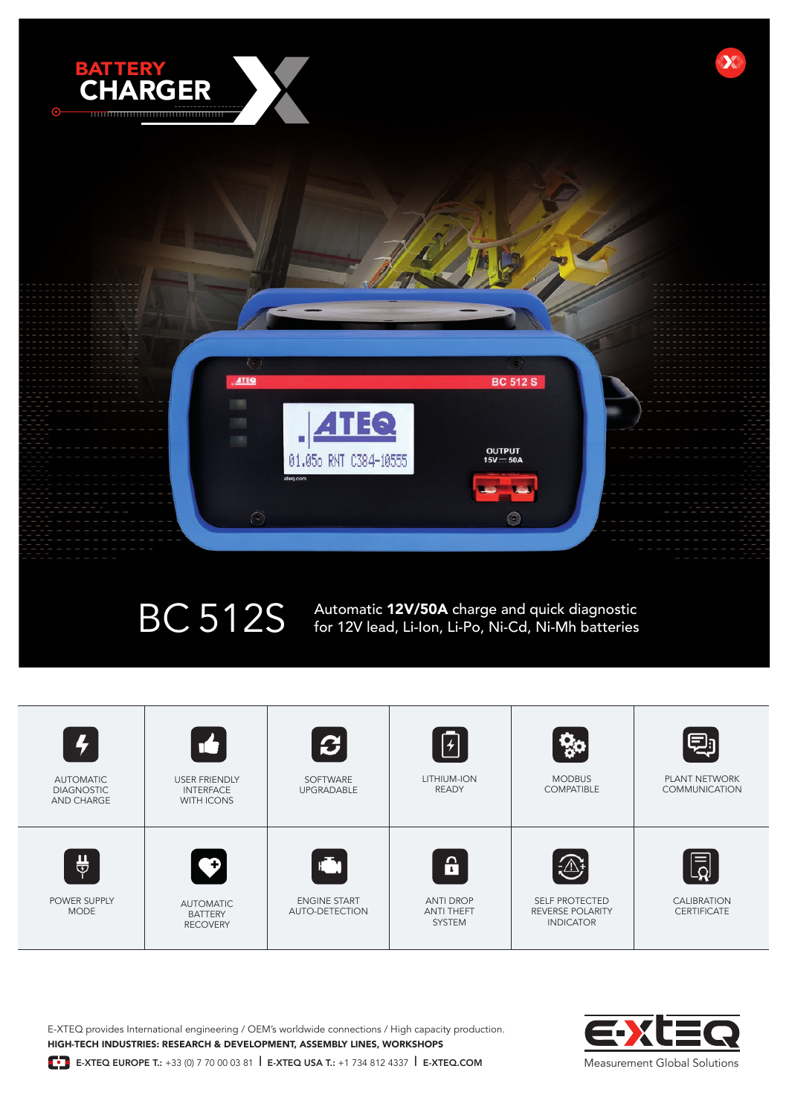

BC 512S Automatic 12V/50A charge and quick diagnostic for 12V lead, Li-Ion, Li-Po, Ni-Cd, Ni-Mh batteries



E-XTEQ provides International engineering / OEM's worldwide connections / High capacity production. HIGH-TECH INDUSTRIES: RESEARCH & DEVELOPMENT, ASSEMBLY LINES, WORKSHOPS



**E-** E-XTEQ EUROPE T.: +33 (0) 7 70 00 03 81 **E-XTEQ USA T.: +1 734 812 4337 <b>F-XTEQ.COM**